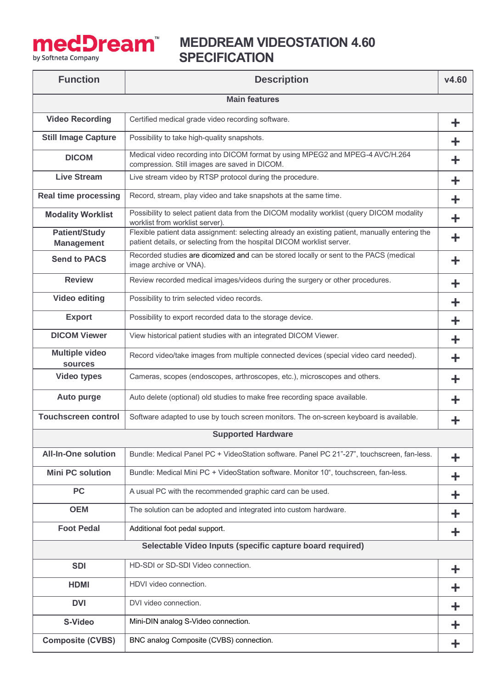

## **MedDream** MEDDREAM VIDEOSTATION 4.60<br>SPECIFICATION  **SPECIFICATION**

| <b>Function</b>                           | <b>Description</b>                                                                                                                                                       | V4.60 |  |  |
|-------------------------------------------|--------------------------------------------------------------------------------------------------------------------------------------------------------------------------|-------|--|--|
| <b>Main features</b>                      |                                                                                                                                                                          |       |  |  |
| <b>Video Recording</b>                    | Certified medical grade video recording software.                                                                                                                        | ÷     |  |  |
| <b>Still Image Capture</b>                | Possibility to take high-quality snapshots.                                                                                                                              | ╈     |  |  |
| <b>DICOM</b>                              | Medical video recording into DICOM format by using MPEG2 and MPEG-4 AVC/H.264<br>compression. Still images are saved in DICOM.                                           | ╋     |  |  |
| <b>Live Stream</b>                        | Live stream video by RTSP protocol during the procedure.                                                                                                                 | ╋     |  |  |
| <b>Real time processing</b>               | Record, stream, play video and take snapshots at the same time.                                                                                                          | ╋     |  |  |
| <b>Modality Worklist</b>                  | Possibility to select patient data from the DICOM modality worklist (query DICOM modality<br>worklist from worklist server).                                             | ╋     |  |  |
| <b>Patient/Study</b><br><b>Management</b> | Flexible patient data assignment: selecting already an existing patient, manually entering the<br>patient details, or selecting from the hospital DICOM worklist server. | ╋     |  |  |
| <b>Send to PACS</b>                       | Recorded studies are dicomized and can be stored locally or sent to the PACS (medical<br>image archive or VNA).                                                          | ÷     |  |  |
| <b>Review</b>                             | Review recorded medical images/videos during the surgery or other procedures.                                                                                            | ╋     |  |  |
| <b>Video editing</b>                      | Possibility to trim selected video records.                                                                                                                              | ╋     |  |  |
| <b>Export</b>                             | Possibility to export recorded data to the storage device.                                                                                                               | ╈     |  |  |
| <b>DICOM Viewer</b>                       | View historical patient studies with an integrated DICOM Viewer.                                                                                                         | ÷     |  |  |
| <b>Multiple video</b><br>sources          | Record video/take images from multiple connected devices (special video card needed).                                                                                    | ╋     |  |  |
| <b>Video types</b>                        | Cameras, scopes (endoscopes, arthroscopes, etc.), microscopes and others.                                                                                                | ╋     |  |  |
| <b>Auto purge</b>                         | Auto delete (optional) old studies to make free recording space available.                                                                                               | ╋     |  |  |
| <b>Touchscreen control</b>                | Software adapted to use by touch screen monitors. The on-screen keyboard is available.                                                                                   |       |  |  |
| <b>Supported Hardware</b>                 |                                                                                                                                                                          |       |  |  |
| <b>All-In-One solution</b>                | Bundle: Medical Panel PC + VideoStation software. Panel PC 21"-27", touchscreen, fan-less.                                                                               | ╋     |  |  |
| <b>Mini PC solution</b>                   | Bundle: Medical Mini PC + VideoStation software. Monitor 10", touchscreen, fan-less.                                                                                     | ╋     |  |  |
| <b>PC</b>                                 | A usual PC with the recommended graphic card can be used.                                                                                                                | ╋     |  |  |
| <b>OEM</b>                                | The solution can be adopted and integrated into custom hardware.                                                                                                         | ╋     |  |  |
| <b>Foot Pedal</b>                         | Additional foot pedal support.                                                                                                                                           | ╈     |  |  |
|                                           | Selectable Video Inputs (specific capture board required)                                                                                                                |       |  |  |
| <b>SDI</b>                                | HD-SDI or SD-SDI Video connection.                                                                                                                                       | ÷     |  |  |
| <b>HDMI</b>                               | HDVI video connection.                                                                                                                                                   | ÷     |  |  |
| <b>DVI</b>                                | DVI video connection.                                                                                                                                                    | ÷     |  |  |
| S-Video                                   | Mini-DIN analog S-Video connection.                                                                                                                                      | ╋     |  |  |
| <b>Composite (CVBS)</b>                   | BNC analog Composite (CVBS) connection.                                                                                                                                  | ÷     |  |  |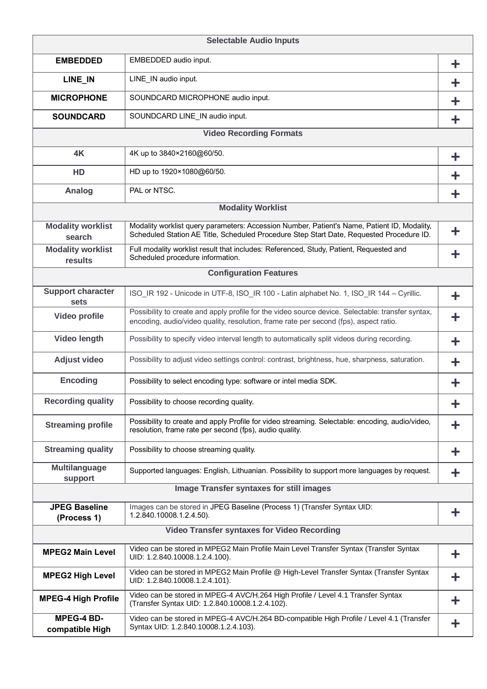| <b>Selectable Audio Inputs</b>       |                                                                                                                                                                                            |   |  |  |
|--------------------------------------|--------------------------------------------------------------------------------------------------------------------------------------------------------------------------------------------|---|--|--|
| <b>EMBEDDED</b>                      | EMBEDDED audio input.                                                                                                                                                                      | ╋ |  |  |
| LINE_IN                              | LINE_IN audio input.                                                                                                                                                                       | ╋ |  |  |
| <b>MICROPHONE</b>                    | SOUNDCARD MICROPHONE audio input.                                                                                                                                                          | ╋ |  |  |
| <b>SOUNDCARD</b>                     | SOUNDCARD LINE_IN audio input.                                                                                                                                                             | ╋ |  |  |
| <b>Video Recording Formats</b>       |                                                                                                                                                                                            |   |  |  |
| 4K                                   | 4K up to 3840×2160@60/50.                                                                                                                                                                  | ÷ |  |  |
| HD                                   | HD up to 1920×1080@60/50.                                                                                                                                                                  |   |  |  |
| Analog                               | PAL or NTSC.                                                                                                                                                                               |   |  |  |
|                                      | <b>Modality Worklist</b>                                                                                                                                                                   |   |  |  |
| <b>Modality worklist</b><br>search   | Modality worklist query parameters: Accession Number, Patient's Name, Patient ID, Modality,<br>Scheduled Station AE Title, Scheduled Procedure Step Start Date, Requested Procedure ID.    | ╋ |  |  |
| <b>Modality worklist</b><br>results  | Full modality worklist result that includes: Referenced, Study, Patient, Requested and<br>Scheduled procedure information.                                                                 | ÷ |  |  |
|                                      | <b>Configuration Features</b>                                                                                                                                                              |   |  |  |
| <b>Support character</b><br>sets     | ISO_IR 192 - Unicode in UTF-8, ISO_IR 100 - Latin alphabet No. 1, ISO_IR 144 - Cyrillic.                                                                                                   | ╋ |  |  |
| Video profile                        | Possibility to create and apply profile for the video source device. Selectable: transfer syntax,<br>encoding, audio/video quality, resolution, frame rate per second (fps), aspect ratio. | ╋ |  |  |
| Video length                         | Possibility to specify video interval length to automatically split videos during recording.                                                                                               | ╋ |  |  |
| <b>Adjust video</b>                  | Possibility to adjust video settings control: contrast, brightness, hue, sharpness, saturation.                                                                                            | ╋ |  |  |
| <b>Encoding</b>                      | Possibility to select encoding type: software or intel media SDK.                                                                                                                          | ÷ |  |  |
| <b>Recording quality</b>             | Possibility to choose recording quality.                                                                                                                                                   | ╋ |  |  |
| <b>Streaming profile</b>             | Possibility to create and apply Profile for video streaming. Selectable: encoding, audio/video,<br>resolution, frame rate per second (fps), audio quality.                                 |   |  |  |
| <b>Streaming quality</b>             | Possibility to choose streaming quality.                                                                                                                                                   | ╋ |  |  |
| <b>Multilanguage</b><br>support      | Supported languages: English, Lithuanian. Possibility to support more languages by request.                                                                                                | ÷ |  |  |
|                                      | <b>Image Transfer syntaxes for still images</b>                                                                                                                                            |   |  |  |
| <b>JPEG Baseline</b><br>(Process 1)  | Images can be stored in JPEG Baseline (Process 1) (Transfer Syntax UID:<br>1.2.840.10008.1.2.4.50).                                                                                        | ÷ |  |  |
|                                      | <b>Video Transfer syntaxes for Video Recording</b>                                                                                                                                         |   |  |  |
| <b>MPEG2 Main Level</b>              | Video can be stored in MPEG2 Main Profile Main Level Transfer Syntax (Transfer Syntax<br>UID: 1.2.840.10008.1.2.4.100).                                                                    | ╋ |  |  |
| <b>MPEG2 High Level</b>              | Video can be stored in MPEG2 Main Profile @ High-Level Transfer Syntax (Transfer Syntax<br>UID: 1.2.840.10008.1.2.4.101).                                                                  | ╋ |  |  |
| <b>MPEG-4 High Profile</b>           | Video can be stored in MPEG-4 AVC/H.264 High Profile / Level 4.1 Transfer Syntax<br>(Transfer Syntax UID: 1.2.840.10008.1.2.4.102).                                                        | ╋ |  |  |
| <b>MPEG-4 BD-</b><br>compatible High | Video can be stored in MPEG-4 AVC/H.264 BD-compatible High Profile / Level 4.1 (Transfer<br>Syntax UID: 1.2.840.10008.1.2.4.103).                                                          | ╋ |  |  |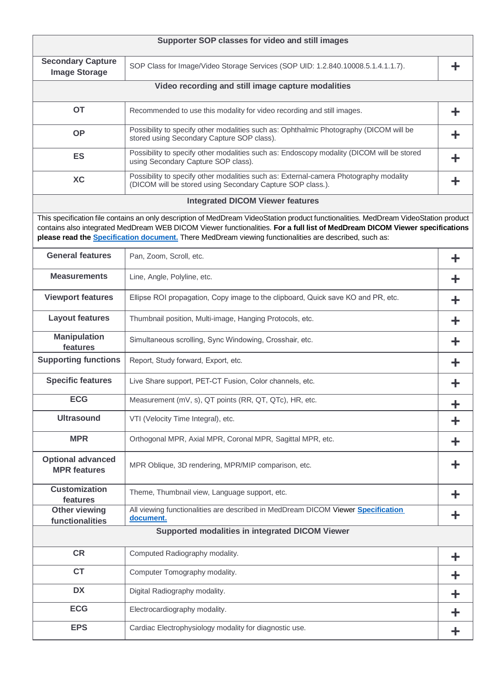|                                                        | Supporter SOP classes for video and still images                                                                                                                                                                                                                                                                                                                                      |   |  |  |
|--------------------------------------------------------|---------------------------------------------------------------------------------------------------------------------------------------------------------------------------------------------------------------------------------------------------------------------------------------------------------------------------------------------------------------------------------------|---|--|--|
| <b>Secondary Capture</b><br><b>Image Storage</b>       | SOP Class for Image/Video Storage Services (SOP UID: 1.2.840.10008.5.1.4.1.1.7).                                                                                                                                                                                                                                                                                                      |   |  |  |
| Video recording and still image capture modalities     |                                                                                                                                                                                                                                                                                                                                                                                       |   |  |  |
| <b>OT</b>                                              | Recommended to use this modality for video recording and still images.                                                                                                                                                                                                                                                                                                                | ╋ |  |  |
| <b>OP</b>                                              | Possibility to specify other modalities such as: Ophthalmic Photography (DICOM will be<br>stored using Secondary Capture SOP class).                                                                                                                                                                                                                                                  |   |  |  |
| <b>ES</b>                                              | Possibility to specify other modalities such as: Endoscopy modality (DICOM will be stored<br>using Secondary Capture SOP class).                                                                                                                                                                                                                                                      |   |  |  |
| <b>XC</b>                                              | Possibility to specify other modalities such as: External-camera Photography modality<br>(DICOM will be stored using Secondary Capture SOP class.).                                                                                                                                                                                                                                   |   |  |  |
|                                                        | <b>Integrated DICOM Viewer features</b>                                                                                                                                                                                                                                                                                                                                               |   |  |  |
|                                                        | This specification file contains an only description of MedDream VideoStation product functionalities. MedDream VideoStation product<br>contains also integrated MedDream WEB DICOM Viewer functionalities. For a full list of MedDream DICOM Viewer specifications<br>please read the <b>Specification document</b> . There MedDream viewing functionalities are described, such as: |   |  |  |
| <b>General features</b>                                | Pan, Zoom, Scroll, etc.                                                                                                                                                                                                                                                                                                                                                               | ╋ |  |  |
| <b>Measurements</b>                                    | Line, Angle, Polyline, etc.                                                                                                                                                                                                                                                                                                                                                           |   |  |  |
| <b>Viewport features</b>                               | Ellipse ROI propagation, Copy image to the clipboard, Quick save KO and PR, etc.                                                                                                                                                                                                                                                                                                      |   |  |  |
| <b>Layout features</b>                                 | Thumbnail position, Multi-image, Hanging Protocols, etc.                                                                                                                                                                                                                                                                                                                              |   |  |  |
| <b>Manipulation</b><br>features                        | Simultaneous scrolling, Sync Windowing, Crosshair, etc.                                                                                                                                                                                                                                                                                                                               |   |  |  |
| <b>Supporting functions</b>                            | Report, Study forward, Export, etc.                                                                                                                                                                                                                                                                                                                                                   |   |  |  |
| <b>Specific features</b>                               | Live Share support, PET-CT Fusion, Color channels, etc.                                                                                                                                                                                                                                                                                                                               |   |  |  |
| <b>ECG</b>                                             | Measurement (mV, s), QT points (RR, QT, QTc), HR, etc.                                                                                                                                                                                                                                                                                                                                |   |  |  |
| <b>Ultrasound</b>                                      | VTI (Velocity Time Integral), etc.                                                                                                                                                                                                                                                                                                                                                    |   |  |  |
| <b>MPR</b>                                             | Orthogonal MPR, Axial MPR, Coronal MPR, Sagittal MPR, etc.                                                                                                                                                                                                                                                                                                                            |   |  |  |
| <b>Optional advanced</b><br><b>MPR</b> features        | MPR Oblique, 3D rendering, MPR/MIP comparison, etc.                                                                                                                                                                                                                                                                                                                                   |   |  |  |
| <b>Customization</b><br>features                       | Theme, Thumbnail view, Language support, etc.                                                                                                                                                                                                                                                                                                                                         |   |  |  |
| <b>Other viewing</b><br>functionalities                | All viewing functionalities are described in MedDream DICOM Viewer Specification<br>document.                                                                                                                                                                                                                                                                                         |   |  |  |
| <b>Supported modalities in integrated DICOM Viewer</b> |                                                                                                                                                                                                                                                                                                                                                                                       |   |  |  |
| <b>CR</b>                                              | Computed Radiography modality.                                                                                                                                                                                                                                                                                                                                                        |   |  |  |
| <b>CT</b>                                              | Computer Tomography modality.                                                                                                                                                                                                                                                                                                                                                         | ╋ |  |  |
| <b>DX</b>                                              | Digital Radiography modality.                                                                                                                                                                                                                                                                                                                                                         | ╋ |  |  |
| <b>ECG</b>                                             | Electrocardiography modality.                                                                                                                                                                                                                                                                                                                                                         |   |  |  |
| <b>EPS</b>                                             | Cardiac Electrophysiology modality for diagnostic use.                                                                                                                                                                                                                                                                                                                                |   |  |  |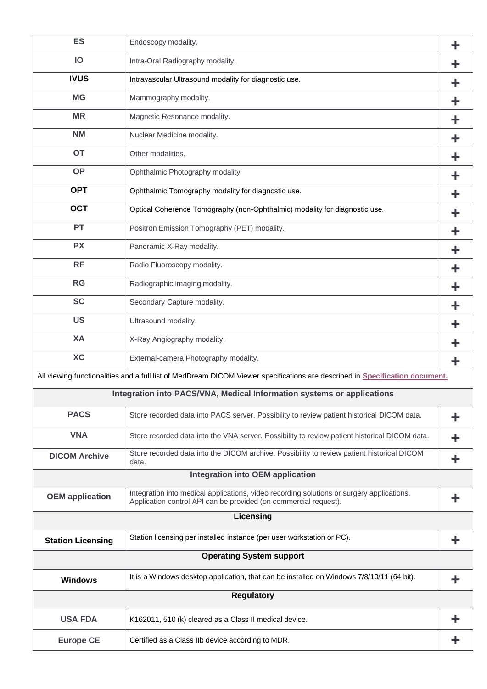| <b>ES</b>                       | Endoscopy modality.                                                                                                                                           |   |  |  |
|---------------------------------|---------------------------------------------------------------------------------------------------------------------------------------------------------------|---|--|--|
| IO                              | Intra-Oral Radiography modality.                                                                                                                              | ╈ |  |  |
| <b>IVUS</b>                     | Intravascular Ultrasound modality for diagnostic use.                                                                                                         | ╋ |  |  |
| <b>MG</b>                       | Mammography modality.                                                                                                                                         | ╈ |  |  |
| <b>MR</b>                       | Magnetic Resonance modality.                                                                                                                                  | ╋ |  |  |
| <b>NM</b>                       | Nuclear Medicine modality.                                                                                                                                    | ╋ |  |  |
| <b>OT</b>                       | Other modalities.                                                                                                                                             | ╋ |  |  |
| <b>OP</b>                       | Ophthalmic Photography modality.                                                                                                                              | ╋ |  |  |
| <b>OPT</b>                      | Ophthalmic Tomography modality for diagnostic use.                                                                                                            | ╈ |  |  |
| <b>OCT</b>                      | Optical Coherence Tomography (non-Ophthalmic) modality for diagnostic use.                                                                                    | ╋ |  |  |
| <b>PT</b>                       | Positron Emission Tomography (PET) modality.                                                                                                                  | ╋ |  |  |
| <b>PX</b>                       | Panoramic X-Ray modality.                                                                                                                                     | ╋ |  |  |
| <b>RF</b>                       | Radio Fluoroscopy modality.                                                                                                                                   |   |  |  |
| <b>RG</b>                       | Radiographic imaging modality.                                                                                                                                | ╋ |  |  |
| <b>SC</b>                       | Secondary Capture modality.                                                                                                                                   | ╋ |  |  |
| <b>US</b>                       | Ultrasound modality.                                                                                                                                          | ╋ |  |  |
| XA                              | X-Ray Angiography modality.                                                                                                                                   |   |  |  |
| <b>XC</b>                       | External-camera Photography modality.                                                                                                                         | ╈ |  |  |
|                                 | All viewing functionalities and a full list of MedDream DICOM Viewer specifications are described in Specification document.                                  |   |  |  |
|                                 | Integration into PACS/VNA, Medical Information systems or applications                                                                                        |   |  |  |
| <b>PACS</b>                     | Store recorded data into PACS server. Possibility to review patient historical DICOM data.                                                                    |   |  |  |
| <b>VNA</b>                      | Store recorded data into the VNA server. Possibility to review patient historical DICOM data.                                                                 |   |  |  |
| <b>DICOM Archive</b>            | Store recorded data into the DICOM archive. Possibility to review patient historical DICOM<br>data.                                                           | ╋ |  |  |
|                                 | <b>Integration into OEM application</b>                                                                                                                       |   |  |  |
| <b>OEM</b> application          | Integration into medical applications, video recording solutions or surgery applications.<br>Application control API can be provided (on commercial request). | ╋ |  |  |
|                                 | Licensing                                                                                                                                                     |   |  |  |
| <b>Station Licensing</b>        | Station licensing per installed instance (per user workstation or PC).                                                                                        | ÷ |  |  |
| <b>Operating System support</b> |                                                                                                                                                               |   |  |  |
| <b>Windows</b>                  | It is a Windows desktop application, that can be installed on Windows 7/8/10/11 (64 bit).                                                                     |   |  |  |
| <b>Regulatory</b>               |                                                                                                                                                               |   |  |  |
| <b>USA FDA</b>                  | K162011, 510 (k) cleared as a Class II medical device.                                                                                                        |   |  |  |
| <b>Europe CE</b>                | Certified as a Class IIb device according to MDR.                                                                                                             |   |  |  |